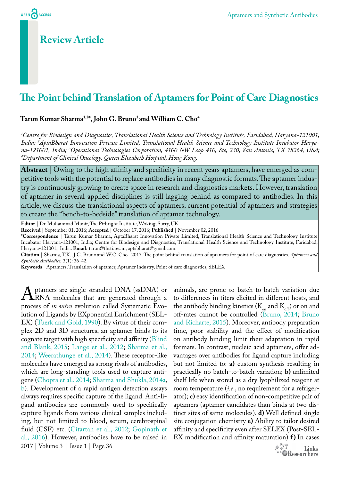# **Review Article**

# **The Point behind Translation of Aptamers for Point of Care Diagnostics**

#### **Tarun Kumar Sharma1,2\*, John G. Bruno3 and William C. Cho4**

*1 Centre for Biodesign and Diagnostics, Translational Health Science and Technology Institute, Faridabad, Haryana-121001, India; 2 AptaBharat Innovation Private Limited, Translational Health Science and Technology Institute Incubator Harya*na-121001, India; <sup>3</sup>Operational Technologies Corporation, 4100 NW Loop 410, Ste, 230, San Antonio, TX 78264, USA;<br><sup>4</sup>Department of Clinical Oncology. Oueen Elizabeth Hospital. Hong Kong *Department of Clinical Oncology, Queen Elizabeth Hospital, Hong Kong.*

Abstract | Owing to the high affinity and specificity in recent years aptamers, have emerged as competitive tools with the potential to replace antibodies in many diagnostic formats. The aptamer industry is continuously growing to create space in research and diagnostics markets. However, translation of aptamer in several applied disciplines is still lagging behind as compared to antibodies. In this article, we discuss the translational aspects of aptamers, current potential of aptamers and strategies to create the "bench-to-bedside" translation of aptamer technology.

**Editor** | Dr. Muhammad Munir, The Pirbright Institute, Woking, Surry, UK.

**Received** | September 01, 2016; **Accepted** | October 17, 2016; **Published** | November 02, 2016

**\*Correspondence** | Tarun Kumar Sharma, AptaBharat Innovation Private Limited, Translational Health Science and Technology Institute Incubator Haryana-121001, India; Centre for Biodesign and Diagnostics, Translational Health Science and Technology Institute, Faridabad, Haryana-121001, India. **Email:** tarun@thsti.res.in, aptabharat@gmail.com.

**Citation** | Sharma, T.K., J.G. Bruno and W.C. Cho. 2017. The point behind translation of aptamers for point of care diagnostics. *Aptamers and Synthetic Antibodies,* 3(1): 36-42.

**Keywords** | Aptamers, Translation of aptamer, Aptamer industry, Point of care diagnostics, SELEX

A ptamers are single stranded DNA (ssDNA) or<br>RNA molecules that are generated through a<br>process of *in vitro* evolution called Systematic Evo-RNA molecules that are generated through a process of *in vitro* evolution called Systematic Evolution of Ligands by EXponential Enrichment (SEL-EX) ([Tuerk and Gold, 1990\)](#page-6-0). By virtue of their complex 2D and 3D structures, an aptamer binds to its cognate target with high specificity and affinity ([Blind](#page-4-0) [and Blank, 2015;](#page-4-0) [Lange et al., 2012](#page-6-1); [Sharma et al.,](#page-6-2) [2014;](#page-6-2) [Weerathunge et al., 2014](#page-6-3)). These receptor-like molecules have emerged as strong rivals of antibodies, which are long-standing tools used to capture antigens [\(Chopra et al., 2014;](#page-5-0) [Sharma and Shukla, 2014a](#page-6-2), [b\)](#page-6-2). Development of a rapid antigen detection assays always requires specific capture of the ligand. Anti-ligand antibodies are commonly used to specifically capture ligands from various clinical samples including, but not limited to blood, serum, cerebrospinal fluid (CSF) etc. ([Citartan et al., 2012;](#page-5-0) [Gopinath et](#page-5-1) [al., 2016\)](#page-5-1). However, antibodies have to be raised in

to differences in titers elicited in different hosts, and the antibody binding kinetics ( $K_{on}$  and  $K_{off}$ ) or on and off-rates cannot be controlled ([Bruno, 2014](#page-5-2); [Bruno](#page-5-2) [and Richarte, 2015](#page-5-2)). Moreover, antibody preparation time, poor stability and the effect of modification on antibody binding limit their adaptation in rapid formats. In contrast, nucleic acid aptamers, offer advantages over antibodies for ligand capture including but not limited to: **a)** custom synthesis resulting in practically no batch-to-batch variation; **b)** unlimited shelf life when stored as a dry lyophilized reagent at room temperature (*i.e*., no requirement for a refrigerator); **c)** easy identification of non-competitive pair of aptamers (aptamer candidates than binds at two distinct sites of same molecules). **d)** Well defined single site conjugation chemistry **e)** Ability to tailor desired affinity and specificity even after SELEX (Post-SEL-EX modification and affinity maturation) **f**) In cases

animals, are prone to batch-to-batch variation due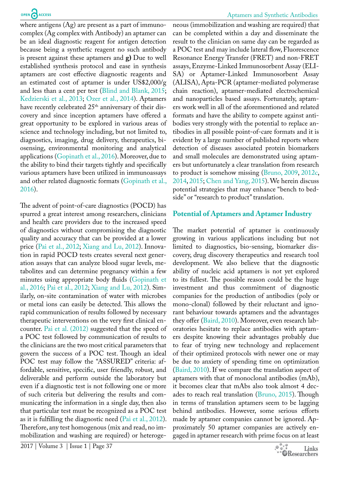where antigens (Ag) are present as a part of immunocomplex (Ag complex with Antibody) an aptamer can be an ideal diagnostic reagent for antigen detection because being a synthetic reagent no such antibody is present against these aptamers and **g)** Due to well established synthesis protocol and ease in synthesis aptamers are cost effective diagnostic reagents and an estimated cost of aptamer is under US\$2,000/g and less than a cent per test ([Blind and Blank, 2015;](#page-4-0) [Kedzierski et al., 2013;](#page-6-4) [Ozer et al., 2014](#page-6-5)). Aptamers have recently celebrated 25<sup>th</sup> anniversary of their discovery and since inception aptamers have offered a great opportunity to be explored in various areas of science and technology including, but not limited to, diagnostics, imaging, drug delivery, therapeutics, biosensing, environmental monitoring and analytical applications ([Gopinath et al., 2016](#page-5-1)). Moreover, due to the ability to bind their targets tightly and specifically various aptamers have been utilized in immunoassays and other related diagnostic formats ([Gopinath et al.,](#page-5-1) [2016](#page-5-1)).

The advent of point-of-care diagnostics (POCD) has spurred a great interest among researchers, clinicians and health care providers due to the increased speed of diagnostics without compromising the diagnostic quality and accuracy that can be provided at a lower price ([Pai et al., 2012;](#page-6-6) [Xiang and Lu, 2012](#page-6-7)). Innovation in rapid POCD tests creates several next generation assays that can analyze blood sugar levels, metabolites and can determine pregnancy within a few minutes using appropriate body fluids ([Gopinath et](#page-5-1) [al., 2016](#page-5-1); [Pai et al., 2012](#page-6-6); [Xiang and Lu, 2012](#page-6-7)). Similarly, on-site contamination of water with microbes or metal ions can easily be detected. This allows the rapid communication of results followed by necessary therapeutic interventions on the very first clinical encounter. [Pai et al. \(2012\)](#page-6-6) suggested that the speed of a POC test followed by communication of results to the clinicians are the two most critical parameters that govern the success of a POC test. Though an ideal POC test may follow the "ASSURED" criteria: affordable, sensitive, specific, user friendly, robust, and deliverable and perform outside the laboratory but even if a diagnostic test is not following one or more of such criteria but delivering the results and communicating the information in a single day, then also that particular test must be recognized as a POC test as it is fulfilling the diagnostic need ([Pai et al., 2012](#page-6-6)). Therefore, any test homogenous (mix and read, no immobilization and washing are required) or heterogeneous (immobilization and washing are required) that can be completed within a day and disseminate the result to the clinician on same day can be regarded as a POC test and may include lateral flow, Fluorescence Resonance Energy Transfer (FRET) and non-FRET assays, Enzyme-Linked Immunosorbent Assay (ELI-SA) or Aptamer-Linked Immunosorbent Assay (ALISA), Apta-PCR (aptamer-mediated polymerase chain reaction), aptamer-mediated electrochemical and nanoparticles based assays. Fortunately, aptamers work well in all of the aforementioned and related formats and have the ability to compete against antibodies very strongly with the potential to replace antibodies in all possible point-of-care formats and it is evident by a large number of published reports where detection of diseases associated protein biomarkers and small molecules are demonstrated using aptamers but unfortunately a clear translation from research to product is somehow missing ([Bruno, 2009, 2012c](#page-5-2), [2014,](#page-5-2) [2015;](#page-5-2) [Chen and Yang, 2015](#page-5-0)). We herein discuss potential strategies that may enhance "bench to bedside" or "research to product" translation.

#### **Potential of Aptamers and Aptamer Industry**

The market potential of aptamer is continuously growing in various applications including but not limited to diagnostics, bio-sensing, biomarker discovery, drug discovery therapeutics and research tool development. We also believe that the diagnostic ability of nucleic acid aptamers is not yet explored to its fullest. The possible reason could be the huge investment and thus commitment of diagnostic companies for the production of antibodies (poly or mono-clonal) followed by their reluctant and ignorant behaviour towards aptamers and the advantages they offer ([Baird, 2010\)](#page-4-0). Moreover, even research laboratories hesitate to replace antibodies with aptamers despite knowing their advantages probably due to fear of trying new technology and replacement of their optimized protocols with newer one or may be due to anxiety of spending time on optimization ([Baird, 2010](#page-4-0)). If we compare the translation aspect of aptamers with that of monoclonal antibodies (mAb), it becomes clear that mAbs also took almost 4 decades to reach real translation [\(Bruno, 2015\)](#page-5-2). Though in terms of translation aptamers seem to be lagging behind antibodies. However, some serious efforts made by aptamer companies cannot be ignored. Approximately 50 aptamer companies are actively engaged in aptamer research with prime focus on at least

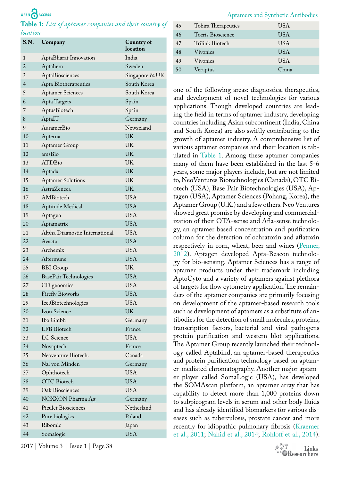# OPEN CACCESS

<span id="page-2-0"></span>**Table 1:** *List of aptamer companies and their country of location*

| S.N.           | Company                        | Country of<br>location |
|----------------|--------------------------------|------------------------|
| 1              | AptaBharat Innovation          | India                  |
| $\overline{2}$ | Aptahem                        | Sweden                 |
| 3              | AptaBiosciences                | Singapore & UK         |
| 4              | Apta Biotherapeutics           | South Korea            |
| 5              | <b>Aptamer Sciences</b>        | South Korea            |
| 6              | Apta Targets                   | Spain                  |
| 7              | AptusBiotech                   | Spain                  |
| 8              | AptaIT                         | Germany                |
| 9              | AuramerBio                     | Newzeland              |
| 10             | Apterna                        | UK                     |
| 11             | <b>Aptamer Group</b>           | UK                     |
| 12             | amsBio                         | UK                     |
| 13             | <b>ATDBio</b>                  | <b>UK</b>              |
| 14             | Aptadx                         | UK                     |
| 15             | <b>Aptamer Solutions</b>       | UK                     |
| 16             | <b>AstraZeneca</b>             | UK                     |
| 17             | AMBiotech                      | <b>USA</b>             |
| 18             | Aptitude Medical               | <b>USA</b>             |
| 19             | Aptagen                        | <b>USA</b>             |
| 20             | Aptamatrix                     | <b>USA</b>             |
| 21             | Alpha Diagnostic International | <b>USA</b>             |
| 22             | Avacta                         | <b>USA</b>             |
| 23             | Archemix                       | <b>USA</b>             |
| 24             | Altermune                      | <b>USA</b>             |
| 25             | <b>BBI</b> Group               | UK                     |
| 26             | BasePair Technologies          | <b>USA</b>             |
| 27             | CD genomics                    | <b>USA</b>             |
| 28             | <b>Firefly Bioworks</b>        | <b>USA</b>             |
| 29             | Ice9Biotechnologies            | <b>USA</b>             |
| 30             | Izon Science                   | UK                     |
| 31             | Iba Gmbh                       | Germany                |
| 32             | LFB Biotech                    | France                 |
| 33             | LC Science                     | <b>USA</b>             |
| 34             | Novaptech                      | France                 |
| 35             | Neoventure Biotech.            | Canada                 |
| 36             | Nal von Minden                 | Germany                |
| 37             | Ophthotech                     | <b>USA</b>             |
| 38             | <b>OTC</b> Biotech             | <b>USA</b>             |
| 39             | Oak Biosciences                | <b>USA</b>             |
| 40             | NOXXON Pharma Ag               | Germany                |
| 41             | <b>Piculet Biosciences</b>     | Netherland             |
| 42             | Pure biologics                 | Poland                 |
| 43             | Ribomic                        | Japan                  |
| 44             | Somalogic                      | <b>USA</b>             |

| 45 | Tobira Therapeutics | USA        |
|----|---------------------|------------|
| 46 | Tocris Bioscience   | USA        |
| 47 | Trilink Biotech     | <b>USA</b> |
| 48 | Vivonics            | <b>USA</b> |
| 49 | Vivonics            | USA        |
| 50 | Veraptus            | China      |
|    |                     |            |

Aptamers and Synthetic Antibodies

one of the following areas: diagnostics, therapeutics, and development of novel technologies for various applications. Though developed countries are leading the field in terms of aptamer industry, developing countries including Asian subcontinent (India, China and South Korea) are also swiftly contributing to the growth of aptamer industry. A comprehensive list of various aptamer companies and their location is tabulated in [Table 1](#page-2-0). Among these aptamer companies many of them have been established in the last 5-6 years, some major players include, but are not limited to, NeoVentures Biotechnologies (Canada), OTC Biotech (USA), Base Pair Biotechnologies (USA), Aptagen (USA), Aptamer Sciences (Pohang, Korea), the Aptamer Group (U.K.) and a few others. Neo Ventures showed great promise by developing and commercialization of their OTA-sense and Afla-sense technology, an aptamer based concentration and purification column for the detection of ochratoxin and aflatoxin respectively in corn, wheat, beer and wines [\(Penner,](#page-6-6) [2012\)](#page-6-6). Aptagen developed Apta-Beacon technology for bio-sensing. Aptamer Sciences has a range of aptamer products under their trademark including AptoCyto and a variety of aptamers against plethora of targets for flow cytometry application. The remainders of the aptamer companies are primarily focusing on development of the aptamer-based research tools such as development of aptamers as a substitute of antibodies for the detection of small molecules, proteins, transcription factors, bacterial and viral pathogens protein purification and western blot applications. The Aptamer Group recently launched their technology called Aptabind, an aptamer-based therapeutics and protein purification technology based on aptamer-mediated chromatography. Another major aptamer player called SomaLogic (USA), has developed the SOMAscan platform, an aptamer array that has capability to detect more than 1,000 proteins down to subpicogram levels in serum and other body fluids and has already identified biomarkers for various diseases such as tuberculosis, prostate cancer and more recently for idiopathic pulmonary fibrosis ([Kraemer](#page-6-4) [et al., 2011;](#page-6-4) [Nahid et al., 2014](#page-6-8); [Rohloff et al., 2014](#page-6-9)).

2017 | Volume 3 | Issue 1 | Page 38

Links **OResearchers**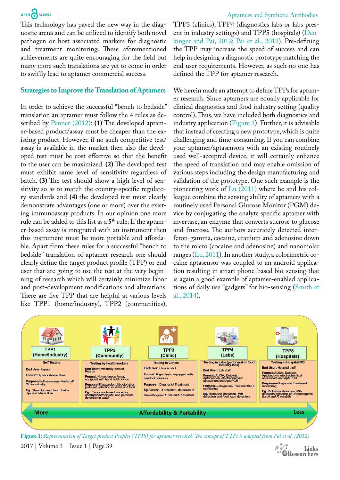This technology has paved the new way in the diagnostic arena and can be utilized to identify both novel pathogen or host associated markers for diagnostic and treatment monitoring. These aforementioned achievements are quite encouraging for the field but many more such translations are yet to come in order to swiftly lead to aptamer commercial success.

#### **Strategies to Improve the Translation of Aptamers**

In order to achieve the successful "bench to bedside" translation an aptamer must follow the 4 rules as described by [Penner \(2012\):](#page-6-6) **(1)** The developed aptamer-based product/assay must be cheaper than the existing product. However, if no such competitive test/ assay is available in the market then also the developed test must be cost effective so that the benefit to the user can be maximized. **(2)** The developed test must exhibit same level of sensitivity regardless of batch. **(3)** The test should show a high level of sensitivity so as to match the country-specific regulatory standards and **(4)** the developed test must clearly demonstrate advantages (one or more) over the existing immunoassay products. In our opinion one more rule can be added to this list as a **5th** rule: If the aptamer-based assay is integrated with an instrument then this instrument must be more portable and affordable. Apart from these rules for a successful "bench to bedside" translation of aptamer research one should clearly define the target product profile (TPP) or end user that are going to use the test at the very beginning of research which will certainly minimize labor and post-development modifications and alterations. There are five TPP that are helpful at various levels like TPP1 (home/industry), TPP2 (communities),

TPP3 (clinics), TPP4 (diagnostics labs or labs present in industry settings) and TPP5 (hospitals) [\(Den](#page-5-3)[kinger and Pai, 2012](#page-5-3); [Pai et al., 2012](#page-6-6)). Pre-defining the TPP may increase the speed of success and can help in designing a diagnostic prototype matching the end user requirements. However, as such no one has defined the TPP for aptamer research.

We herein made an attempt to define TPPs for aptamer research. Since aptamers are equally applicable for clinical diagnostics and food industry setting (quality control), Thus, we have included both diagnostics and industry application [\(Figure 1](#page-3-0)). Further, it is advisable that instead of creating a new prototype, which is quite challenging and time-consuming. If you can combine your aptamer/aptasensors with an existing routinely used well-accepted device, it will certainly enhance the speed of translation and may enable omission of various steps including the design manufacturing and validation of the prototype. One such example is the pioneering work of  $Lu$  (2011) where he and his colleague combine the sensing ability of aptamers with a routinely used Personal Glucose Monitor (PGM) device by conjugating the analyte specific aptamer with invertase, an enzyme that converts sucrose to glucose and fructose. The authors accurately detected interferon-gamma, cocaine, uranium and adenosine down to the micro (cocaine and adenosine) and nanomolar ranges ([Lu, 2011\)](#page-6-1). In another study, a colorimetric cocaine aptasensor was coupled to an android application resulting in smart phone-based bio-sensing that is again a good example of aptamer-enabled applications of daily use "gadgets" for bio-sensing ([Smith et](#page-6-2) [al., 2014](#page-6-2)).



<span id="page-3-0"></span>**Figure 1:** *Representation of Target product Profiles (TPPs) for aptamer research. The concept of TTPs is adapted from Pai et al. (2012)*

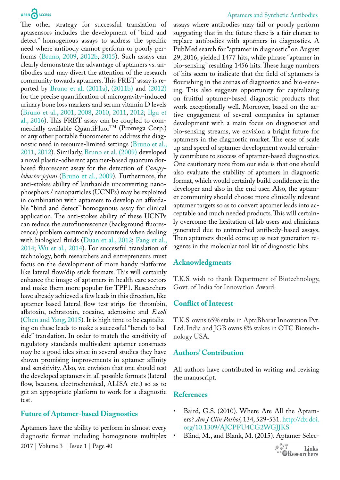The other strategy for successful translation of aptasensors includes the development of "bind and detect" homogenous assays to address the specific need where antibody cannot perform or poorly performs ([Bruno, 2009,](#page-5-2) [2012b,](#page-5-2) [2015\)](#page-5-2). Such assays can clearly demonstrate the advantage of aptamers vs. antibodies and may divert the attention of the research community towards aptamers. This FRET assay is reported by [Bruno et al. \(2011a\)](#page-5-2), [\(2011b\)](#page-5-2) an[d \(2012\)](#page-5-2) for the precise quantification of microgravity-induced urinary bone loss markers and serum vitamin D levels ([Bruno et al., 2001,](#page-5-2) [2008](#page-5-2), [2010,](#page-5-2) [2011](#page-5-2), [2012;](#page-5-2) [Ilgu et](#page-5-4)  [al., 2016](#page-5-4)). This FRET assay can be coupled to commercially available QuantiFluor<sup>TM</sup> (Promega Corp.) or any other portable fluorometer to address the diagnostic need in resource-limited settings [\(Bruno et al.,](#page-5-2)  [2011](#page-5-2), [2012\)](#page-5-2). Similarly, [Bruno et al. \(2009\)](#page-5-2) developed a novel plastic-adherent aptamer-based quantum dotbased fluorescent assay for the detection of *Campylobacter jejuni* [\(Bruno et al., 2009](#page-5-2))*.* Furthermore, the anti-stokes ability of lanthanide upconverting nanophosphors / nanoparticles (UCNPs) may be exploited in combination with aptamers to develop an affordable "bind and detect" homogenous assay for clinical application. The anti-stokes ability of these UCNPs can reduce the autofluorescence (background fluorescence) problem commonly encountered when dealing with biological fluids ([Duan et al., 2012](#page-5-3); [Fang et al.,](#page-5-5)  [2014](#page-5-5); [Wu et al., 2014\)](#page-6-3). For successful translation of technology, both researchers and entrepreneurs must focus on the development of more handy platforms like lateral flow/dip stick formats. This will certainly enhance the image of aptamers in health care sectors and make them more popular for TPP1. Researchers have already achieved a few leads in this direction, like aptamer-based lateral flow test strips for thrombin, aflatoxin, ochratoxin, cocaine, adenosine and *E.coli*  ([Chen and Yang, 2015](#page-5-0))*.* It is high time to be capitalizing on these leads to make a successful "bench to bed side" translation. In order to match the sensitivity of regulatory standards multivalent aptamer constructs may be a good idea since in several studies they have shown promising improvements in aptamer affinity and sensitivity. Also, we envision that one should test the developed aptamers in all possible formats (lateral flow, beacons, electrochemical, ALISA etc.) so as to get an appropriate platform to work for a diagnostic test.

# **Future of Aptamer-based Diagnostics**

Aptamers have the ability to perform in almost every diagnostic format including homogenous multiplex

#### Aptamers and Synthetic Antibodies

assays where antibodies may fail or poorly perform suggesting that in the future there is a fair chance to replace antibodies with aptamers in diagnostics. A PubMed search for "aptamer in diagnostic" on August 29, 2016, yielded 1477 hits, while phrase "aptamer in bio-sensing" resulting 1456 hits. These large numbers of hits seem to indicate that the field of aptamers is flourishing in the arenas of diagnostics and bio-sensing. This also suggests opportunity for capitalizing on fruitful aptamer-based diagnostic products that work exceptionally well. Moreover, based on the active engagement of several companies in aptamer development with a main focus on diagnostics and bio-sensing streams, we envision a bright future for aptamers in the diagnostic market. The ease of scale up and speed of aptamer development would certainly contribute to success of aptamer-based diagnostics. One cautionary note from our side is that one should also evaluate the stability of aptamers in diagnostic format, which would certainly build confidence in the developer and also in the end user. Also, the aptamer community should choose more clinically relevant aptamer targets so as to convert aptamer leads into acceptable and much needed products. This will certainly overcome the hesitation of lab users and clinicians generated due to entrenched antibody-based assays. Then aptamers should come up as next generation reagents in the molecular tool kit of diagnostic labs.

# **Acknowledgments**

T.K.S. wish to thank Department of Biotechnology, Govt. of India for Innovation Award.

# **Conflict of Interest**

T.K.S. owns 65% stake in AptaBharat Innovation Pvt. Ltd. India and JGB owns 8% stakes in OTC Biotechnology USA.

# **Authors' Contribution**

All authors have contributed in writing and revising the manuscript.

# **References**

- <span id="page-4-0"></span>• Baird, G.S. (2010). Where Are All the Aptamers? *Am J Clin Pathol*, 134, 529-531. [http://dx.doi.](http://dx.doi.org/10.1309/AJCPFU4CG2WGJJKS) [org/10.1309/AJCPFU4CG2WGJJKS](http://dx.doi.org/10.1309/AJCPFU4CG2WGJJKS)
- Blind, M., and Blank, M. (2015). Aptamer Selec-

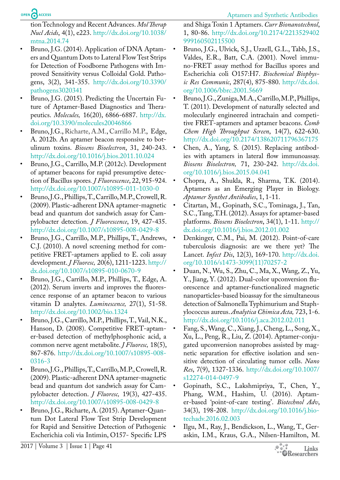# OPEN CACCESS

tion Technology and Recent Advances. *Mol Therap Nucl Acids*, 4(1), e223. [http://dx.doi.org/10.1038/](http://dx.doi.org/10.1038/mtna.2014.74) [mtna.2014.74](http://dx.doi.org/10.1038/mtna.2014.74)

- <span id="page-5-2"></span>• Bruno, J.G. (2014). Application of DNA Aptamers and Quantum Dots to Lateral Flow Test Strips for Detection of Foodborne Pathogens with Improved Sensitivity versus Colloidal Gold. Pathogens, 3(2), 341-355. [http://dx.doi.org/10.3390/](http://dx.doi.org/10.3390/pathogens3020341) [pathogens3020341](http://dx.doi.org/10.3390/pathogens3020341)
- Bruno, J.G. (2015). Predicting the Uncertain Future of Aptamer-Based Diagnostics and Therapeutics. *Molecules,* 16(20), 6866-6887. [http://dx.](http://dx.doi.org/10.3390/molecules20046866) [doi.org/10.3390/molecules20046866](http://dx.doi.org/10.3390/molecules20046866)
- Bruno, J.G., Richarte, A.M., Carrillo M.P., Edge, A. 2012b. An aptamer beacon responsive to botulinum toxins. *Biosens Bioelectron*, 31, 240-243. <http://dx.doi.org/10.1016/j.bios.2011.10.024>
- Bruno, J.G., Carrillo, M.P. (2012c). Development of aptamer beacons for rapid presumptive detection of Bacillus spores*. J Fluorescence*, 22, 915-924. <http://dx.doi.org/10.1007/s10895-011-1030-0>
- Bruno, J.G., Phillips, T., Carrillo, M.P., Crowell, R. (2009). Plastic-adherent DNA aptamer-magnetic bead and quantum dot sandwich assay for Campylobacter detection. *J Fluorescence*, 19, 427-435. <http://dx.doi.org/10.1007/s10895-008-0429-8>
- Bruno, J.G., Carrillo, M.P., Phillips, T., Andrews, C.J. (2010). A novel screening method for competitive FRET-aptamers applied to E. coli assay development. *J Fluoresc,* 20(6), 1211-1223. [http://](http://dx.doi.org/10.1007/s10895-010-0670-9) [dx.doi.org/10.1007/s10895-010-0670-9](http://dx.doi.org/10.1007/s10895-010-0670-9)
- Bruno, J.G., Carrillo, M.P., Phillips, T., Edge, A. (2012). Serum inverts and improves the fluorescence response of an aptamer beacon to various vitamin D analytes. *Luminescence,* 27(1), 51-58. <http://dx.doi.org/10.1002/bio.1324>
- Bruno, J.G., Carrillo, M.P., Phillips, T., Vail, N.K., Hanson, D. (2008). Competitive FRET-aptamer-based detection of methylphosphonic acid, a common nerve agent metabolite. *J Fluoresc,* 18(5), 867-876. [http://dx.doi.org/10.1007/s10895-008-](http://dx.doi.org/10.1007/s10895-008-0316-3) [0316-3](http://dx.doi.org/10.1007/s10895-008-0316-3)
- Bruno, J.G., Phillips, T., Carrillo, M.P., Crowell, R. (2009). Plastic-adherent DNA aptamer-magnetic bead and quantum dot sandwich assay for Campylobacter detection. *J Fluoresc,* 19(3), 427-435. <http://dx.doi.org/10.1007/s10895-008-0429-8>
- Bruno, J.G., Richarte, A. (2015). Aptamer-Quantum Dot Lateral Flow Test Strip Development for Rapid and Sensitive Detection of Pathogenic Escherichia coli via Intimin, O157- Specific LPS

and Shiga Toxin 1 Aptamers. *Curr Bionanotechnol*, 1, 80-86. [http://dx.doi.org/10.2174/2213529402](http://dx.doi.org/10.2174/2213529402999160502115500) [999160502115500](http://dx.doi.org/10.2174/2213529402999160502115500)

- Bruno, J.G., Ulvick, S.J., Uzzell, G.L., Tabb, J.S., Valdes, E.R., Batt, C.A. (2001). Novel immuno-FRET assay method for Bacillus spores and Escherichia coli O157:H7. *Biochemical Biophysic Res Communic*, 287(4), 875-880. [http://dx.doi.](http://dx.doi.org/10.1006/bbrc.2001.5669) [org/10.1006/bbrc.2001.5669](http://dx.doi.org/10.1006/bbrc.2001.5669)
- Bruno, J.G., Zuniga, M.A., Carrillo, M.P., Phillips, T. (2011). Development of naturally selected and molecularly engineered intrachain and competitive FRET-aptamers and aptamer beacons. *Comb Chem High Throughput Screen*, 14(7), 622-630. <http://dx.doi.org/10.2174/138620711796367175>
- <span id="page-5-0"></span>• Chen, A., Yang, S. (2015). Replacing antibodies with aptamers in lateral flow immunoassay. *Biosens Bioelectron,* 71, 230-242. [http://dx.doi.](http://dx.doi.org/10.1016/j.bios.2015.04.041) [org/10.1016/j.bios.2015.04.041](http://dx.doi.org/10.1016/j.bios.2015.04.041)
- Chopra, A., Shukla, R., Sharma, T.K. (2014). Aptamers as an Emerging Player in Biology. *Aptamer Synthet Antibodies*, 1, 1-11.
- Citartan, M., Gopinath, S.C., Tominaga, J., Tan, S.C., Tang, T.H. (2012). Assays for aptamer-based platforms. *Biosens Bioelectron*, 34(1), 1-11. [http://](http://dx.doi.org/10.1016/j.bios.2012.01.002) [dx.doi.org/10.1016/j.bios.2012.01.002](http://dx.doi.org/10.1016/j.bios.2012.01.002)
- <span id="page-5-3"></span>• Denkinger, C.M., Pai, M. (2012). Point-of-care tuberculosis diagnosis: are we there yet? The Lancet. *Infect Dis*, 12(3), 169-170. [http://dx.doi.](http://dx.doi.org/10.1016/s1473-3099(11)70257-2) [org/10.1016/s1473-3099\(11\)70257-2](http://dx.doi.org/10.1016/s1473-3099(11)70257-2)
- Duan, N., Wu, S., Zhu, C., Ma, X., Wang, Z., Yu, Y., Jiang, Y. (2012). Dual-color upconversion fluorescence and aptamer-functionalized magnetic nanoparticles-based bioassay for the simultaneous detection of Salmonella Typhimurium and Staphylococcus aureus. *Analytica Chimica Acta,* 723, 1-6. <http://dx.doi.org/10.1016/j.aca.2012.02.011>
- <span id="page-5-5"></span>• Fang, S., Wang, C., Xiang, J., Cheng, L., Song, X., Xu, L., Peng, R., Liu, Z. (2014). Aptamer-conjugated upconversion nanoprobes assisted by magnetic separation for effective isolation and sensitive detection of circulating tumor cells. *Nano Res*, 7(9), 1327-1336. [http://dx.doi.org/10.1007/](http://dx.doi.org/10.1007/s12274-014-0497-9) [s12274-014-0497-9](http://dx.doi.org/10.1007/s12274-014-0497-9)
- <span id="page-5-1"></span>• Gopinath, S.C., Lakshmipriya, T., Chen, Y., Phang, W.M., Hashim, U. (2016). Aptamer-based 'point-of-care testing'. *Biotechnol Adv*, 34(3), 198-208. [http://dx.doi.org/10.1016/j.bio](http://dx.doi.org/10.1016/j.biotechadv.2016.02.003)[techadv.2016.02.003](http://dx.doi.org/10.1016/j.biotechadv.2016.02.003)
- <span id="page-5-4"></span>• Ilgu, M., Ray, J., Bendickson, L., Wang, T., Geraskin, I.M., Kraus, G.A., Nilsen-Hamilton, M.